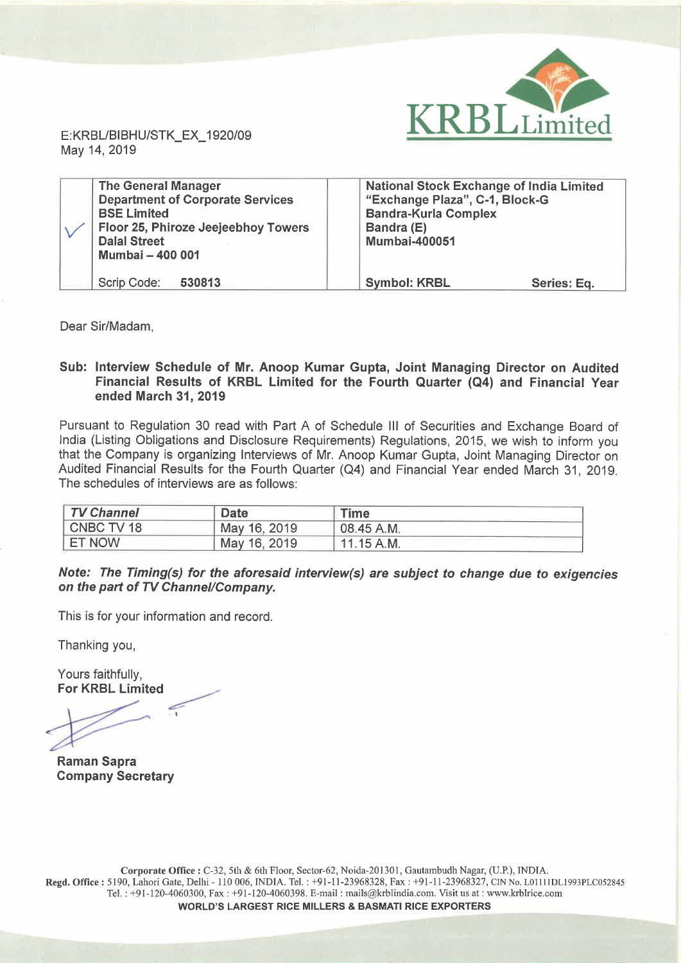

May 14, 2019

| <b>The General Manager</b><br><b>Department of Corporate Services</b><br><b>BSE Limited</b><br>Floor 25, Phiroze Jeejeebhoy Towers<br><b>Dalal Street</b><br><b>Mumbai - 400 001</b> | <b>National Stock Exchange of India Limited</b><br>"Exchange Plaza", C-1, Block-G<br><b>Bandra-Kurla Complex</b><br>Bandra (E)<br><b>Mumbai-400051</b> |
|--------------------------------------------------------------------------------------------------------------------------------------------------------------------------------------|--------------------------------------------------------------------------------------------------------------------------------------------------------|
| Scrip Code:<br>530813                                                                                                                                                                | <b>Symbol: KRBL</b><br>Series: Eq.                                                                                                                     |

Dear Sir/Madam,

## Sub: Interview Schedule of Mr. Anoop Kumar Gupta, Joint Managing Director on Audited Financial Results of KRBL Limited for the Fourth Quarter (Q4) and Financial Year ended March 31, 2019

Pursuant to Regulation 30 read with Part A of Schedule III of Securities and Exchange Board of India (Listing Obligations and Disclosure Requirements) Regulations, 2015, we wish to inform you that the Company is organizing Interviews of Mr. Anoop Kumar Gupta, Joint Managing Director on Audited Financial Results for the Fourth Quarter (Q4) and Financial Year ended March 31, 2019. The schedules of interviews are as follows:

| TV Channel    | <b>Date</b>  | Time         |
|---------------|--------------|--------------|
| CNBC TV 18    | May 16, 2019 | 08.45 A.M.   |
| <b>ET NOW</b> | May 16, 2019 | $11.15$ A.M. |

Note: The Timing(s) for the aforesaid interview(s) are subject to change due to exigencies on the part of TV Channel/Company.

This is for your information and record.

Thanking you,

Yours faithfully, For KRBL Limited

Raman Sapra Company Secretary